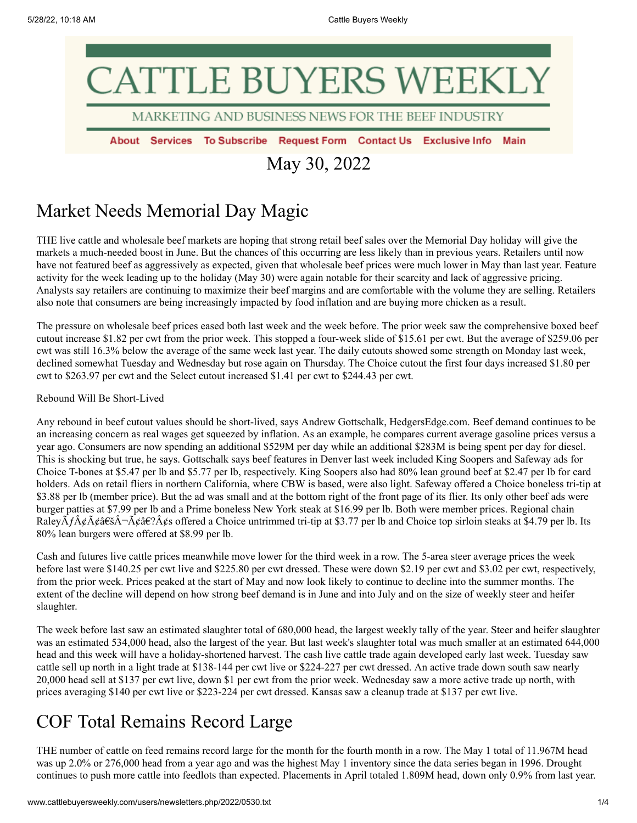# CATTLE BUYERS WEEK

MARKETING AND BUSINESS NEWS FOR THE BEEF INDUSTRY

About Services To Subscribe Request Form Contact Us Exclusive Info Main

May 30, 2022

# Market Needs Memorial Day Magic

THE live cattle and wholesale beef markets are hoping that strong retail beef sales over the Memorial Day holiday will give the markets a much-needed boost in June. But the chances of this occurring are less likely than in previous years. Retailers until now have not featured beef as aggressively as expected, given that wholesale beef prices were much lower in May than last year. Feature activity for the week leading up to the holiday (May 30) were again notable for their scarcity and lack of aggressive pricing. Analysts say retailers are continuing to maximize their beef margins and are comfortable with the volume they are selling. Retailers also note that consumers are being increasingly impacted by food inflation and are buying more chicken as a result.

The pressure on wholesale beef prices eased both last week and the week before. The prior week saw the comprehensive boxed beef cutout increase \$1.82 per cwt from the prior week. This stopped a four-week slide of \$15.61 per cwt. But the average of \$259.06 per cwt was still 16.3% below the average of the same week last year. The daily cutouts showed some strength on Monday last week, declined somewhat Tuesday and Wednesday but rose again on Thursday. The Choice cutout the first four days increased \$1.80 per cwt to \$263.97 per cwt and the Select cutout increased \$1.41 per cwt to \$244.43 per cwt.

### Rebound Will Be Short-Lived

Any rebound in beef cutout values should be short-lived, says Andrew Gottschalk, HedgersEdge.com. Beef demand continues to be an increasing concern as real wages get squeezed by inflation. As an example, he compares current average gasoline prices versus a year ago. Consumers are now spending an additional \$529M per day while an additional \$283M is being spent per day for diesel. This is shocking but true, he says. Gottschalk says beef features in Denver last week included King Soopers and Safeway ads for Choice T-bones at \$5.47 per lb and \$5.77 per lb, respectively. King Soopers also had 80% lean ground beef at \$2.47 per lb for card holders. Ads on retail fliers in northern California, where CBW is based, were also light. Safeway offered a Choice boneless tri-tip at \$3.88 per lb (member price). But the ad was small and at the bottom right of the front page of its flier. Its only other beef ads were burger patties at \$7.99 per lb and a Prime boneless New York steak at \$16.99 per lb. Both were member prices. Regional chain Raley $\hat{A}f\hat{A}\hat{\phi}A\hat{\phi}A\hat{\phi}A\hat{\phi}A\hat{\phi}A\hat{\phi}A\hat{\phi}A\hat{\phi}A\hat{\phi}A\hat{\phi}A\hat{\phi}A\hat{\phi}A\hat{\phi}A\hat{\phi}A\hat{\phi}A\hat{\phi}A\hat{\phi}A\hat{\phi}A\hat{\phi}A\hat{\phi}A\hat{\phi}A\hat{\phi}A\hat{\phi}A\hat{\phi}A\hat{\phi}A\hat{\phi}A\hat{\phi}A\hat{\phi}A\hat{\phi}A\hat{\phi}A\hat{\phi}A\hat{\phi}A\hat{\phi}A\hat{\phi}A\$ 80% lean burgers were offered at \$8.99 per lb.

Cash and futures live cattle prices meanwhile move lower for the third week in a row. The 5-area steer average prices the week before last were \$140.25 per cwt live and \$225.80 per cwt dressed. These were down \$2.19 per cwt and \$3.02 per cwt, respectively, from the prior week. Prices peaked at the start of May and now look likely to continue to decline into the summer months. The extent of the decline will depend on how strong beef demand is in June and into July and on the size of weekly steer and heifer slaughter.

The week before last saw an estimated slaughter total of 680,000 head, the largest weekly tally of the year. Steer and heifer slaughter was an estimated 534,000 head, also the largest of the year. But last week's slaughter total was much smaller at an estimated 644,000 head and this week will have a holiday-shortened harvest. The cash live cattle trade again developed early last week. Tuesday saw cattle sell up north in a light trade at \$138-144 per cwt live or \$224-227 per cwt dressed. An active trade down south saw nearly 20,000 head sell at \$137 per cwt live, down \$1 per cwt from the prior week. Wednesday saw a more active trade up north, with prices averaging \$140 per cwt live or \$223-224 per cwt dressed. Kansas saw a cleanup trade at \$137 per cwt live.

# COF Total Remains Record Large

THE number of cattle on feed remains record large for the month for the fourth month in a row. The May 1 total of 11.967M head was up 2.0% or 276,000 head from a year ago and was the highest May 1 inventory since the data series began in 1996. Drought continues to push more cattle into feedlots than expected. Placements in April totaled 1.809M head, down only 0.9% from last year.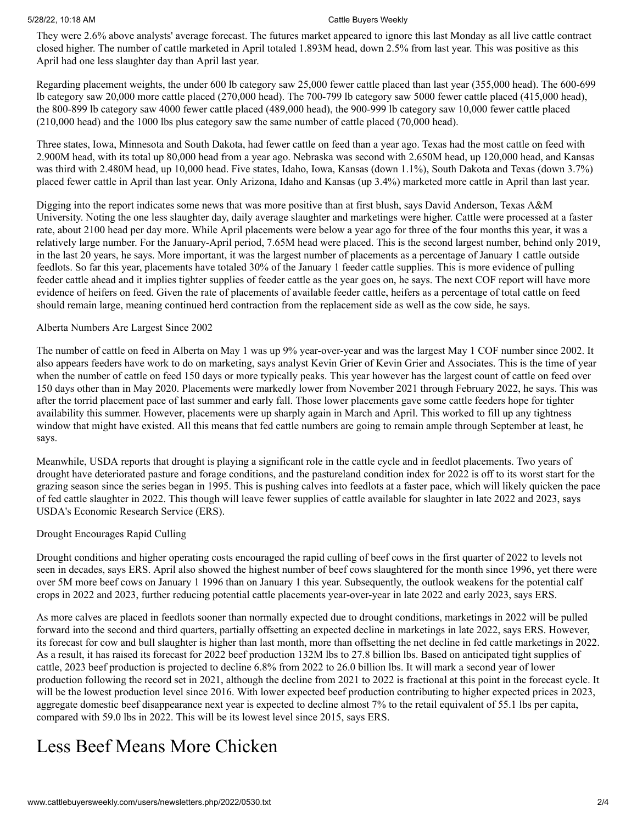### 5/28/22, 10:18 AM Cattle Buyers Weekly

They were 2.6% above analysts' average forecast. The futures market appeared to ignore this last Monday as all live cattle contract closed higher. The number of cattle marketed in April totaled 1.893M head, down 2.5% from last year. This was positive as this April had one less slaughter day than April last year.

Regarding placement weights, the under 600 lb category saw 25,000 fewer cattle placed than last year (355,000 head). The 600-699 lb category saw 20,000 more cattle placed (270,000 head). The 700-799 lb category saw 5000 fewer cattle placed (415,000 head), the 800-899 lb category saw 4000 fewer cattle placed (489,000 head), the 900-999 lb category saw 10,000 fewer cattle placed (210,000 head) and the 1000 lbs plus category saw the same number of cattle placed (70,000 head).

Three states, Iowa, Minnesota and South Dakota, had fewer cattle on feed than a year ago. Texas had the most cattle on feed with 2.900M head, with its total up 80,000 head from a year ago. Nebraska was second with 2.650M head, up 120,000 head, and Kansas was third with 2.480M head, up 10,000 head. Five states, Idaho, Iowa, Kansas (down 1.1%), South Dakota and Texas (down 3.7%) placed fewer cattle in April than last year. Only Arizona, Idaho and Kansas (up 3.4%) marketed more cattle in April than last year.

Digging into the report indicates some news that was more positive than at first blush, says David Anderson, Texas A&M University. Noting the one less slaughter day, daily average slaughter and marketings were higher. Cattle were processed at a faster rate, about 2100 head per day more. While April placements were below a year ago for three of the four months this year, it was a relatively large number. For the January-April period, 7.65M head were placed. This is the second largest number, behind only 2019, in the last 20 years, he says. More important, it was the largest number of placements as a percentage of January 1 cattle outside feedlots. So far this year, placements have totaled 30% of the January 1 feeder cattle supplies. This is more evidence of pulling feeder cattle ahead and it implies tighter supplies of feeder cattle as the year goes on, he says. The next COF report will have more evidence of heifers on feed. Given the rate of placements of available feeder cattle, heifers as a percentage of total cattle on feed should remain large, meaning continued herd contraction from the replacement side as well as the cow side, he says.

## Alberta Numbers Are Largest Since 2002

The number of cattle on feed in Alberta on May 1 was up 9% year-over-year and was the largest May 1 COF number since 2002. It also appears feeders have work to do on marketing, says analyst Kevin Grier of Kevin Grier and Associates. This is the time of year when the number of cattle on feed 150 days or more typically peaks. This year however has the largest count of cattle on feed over 150 days other than in May 2020. Placements were markedly lower from November 2021 through February 2022, he says. This was after the torrid placement pace of last summer and early fall. Those lower placements gave some cattle feeders hope for tighter availability this summer. However, placements were up sharply again in March and April. This worked to fill up any tightness window that might have existed. All this means that fed cattle numbers are going to remain ample through September at least, he says.

Meanwhile, USDA reports that drought is playing a significant role in the cattle cycle and in feedlot placements. Two years of drought have deteriorated pasture and forage conditions, and the pastureland condition index for 2022 is off to its worst start for the grazing season since the series began in 1995. This is pushing calves into feedlots at a faster pace, which will likely quicken the pace of fed cattle slaughter in 2022. This though will leave fewer supplies of cattle available for slaughter in late 2022 and 2023, says USDA's Economic Research Service (ERS).

# Drought Encourages Rapid Culling

Drought conditions and higher operating costs encouraged the rapid culling of beef cows in the first quarter of 2022 to levels not seen in decades, says ERS. April also showed the highest number of beef cows slaughtered for the month since 1996, yet there were over 5M more beef cows on January 1 1996 than on January 1 this year. Subsequently, the outlook weakens for the potential calf crops in 2022 and 2023, further reducing potential cattle placements year-over-year in late 2022 and early 2023, says ERS.

As more calves are placed in feedlots sooner than normally expected due to drought conditions, marketings in 2022 will be pulled forward into the second and third quarters, partially offsetting an expected decline in marketings in late 2022, says ERS. However, its forecast for cow and bull slaughter is higher than last month, more than offsetting the net decline in fed cattle marketings in 2022. As a result, it has raised its forecast for 2022 beef production 132M lbs to 27.8 billion lbs. Based on anticipated tight supplies of cattle, 2023 beef production is projected to decline 6.8% from 2022 to 26.0 billion lbs. It will mark a second year of lower production following the record set in 2021, although the decline from 2021 to 2022 is fractional at this point in the forecast cycle. It will be the lowest production level since 2016. With lower expected beef production contributing to higher expected prices in 2023, aggregate domestic beef disappearance next year is expected to decline almost 7% to the retail equivalent of 55.1 lbs per capita, compared with 59.0 lbs in 2022. This will be its lowest level since 2015, says ERS.

# Less Beef Means More Chicken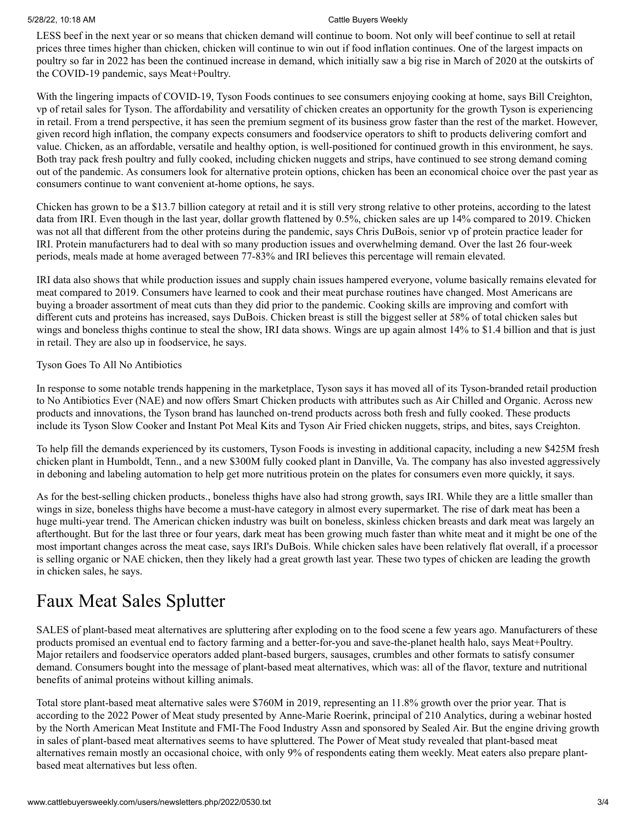### 5/28/22, 10:18 AM Cattle Buyers Weekly

LESS beef in the next year or so means that chicken demand will continue to boom. Not only will beef continue to sell at retail prices three times higher than chicken, chicken will continue to win out if food inflation continues. One of the largest impacts on poultry so far in 2022 has been the continued increase in demand, which initially saw a big rise in March of 2020 at the outskirts of the COVID-19 pandemic, says Meat+Poultry.

With the lingering impacts of COVID-19, Tyson Foods continues to see consumers enjoying cooking at home, says Bill Creighton, vp of retail sales for Tyson. The affordability and versatility of chicken creates an opportunity for the growth Tyson is experiencing in retail. From a trend perspective, it has seen the premium segment of its business grow faster than the rest of the market. However, given record high inflation, the company expects consumers and foodservice operators to shift to products delivering comfort and value. Chicken, as an affordable, versatile and healthy option, is well-positioned for continued growth in this environment, he says. Both tray pack fresh poultry and fully cooked, including chicken nuggets and strips, have continued to see strong demand coming out of the pandemic. As consumers look for alternative protein options, chicken has been an economical choice over the past year as consumers continue to want convenient at-home options, he says.

Chicken has grown to be a \$13.7 billion category at retail and it is still very strong relative to other proteins, according to the latest data from IRI. Even though in the last year, dollar growth flattened by 0.5%, chicken sales are up 14% compared to 2019. Chicken was not all that different from the other proteins during the pandemic, says Chris DuBois, senior vp of protein practice leader for IRI. Protein manufacturers had to deal with so many production issues and overwhelming demand. Over the last 26 four-week periods, meals made at home averaged between 77-83% and IRI believes this percentage will remain elevated.

IRI data also shows that while production issues and supply chain issues hampered everyone, volume basically remains elevated for meat compared to 2019. Consumers have learned to cook and their meat purchase routines have changed. Most Americans are buying a broader assortment of meat cuts than they did prior to the pandemic. Cooking skills are improving and comfort with different cuts and proteins has increased, says DuBois. Chicken breast is still the biggest seller at 58% of total chicken sales but wings and boneless thighs continue to steal the show, IRI data shows. Wings are up again almost 14% to \$1.4 billion and that is just in retail. They are also up in foodservice, he says.

# Tyson Goes To All No Antibiotics

In response to some notable trends happening in the marketplace, Tyson says it has moved all of its Tyson-branded retail production to No Antibiotics Ever (NAE) and now offers Smart Chicken products with attributes such as Air Chilled and Organic. Across new products and innovations, the Tyson brand has launched on-trend products across both fresh and fully cooked. These products include its Tyson Slow Cooker and Instant Pot Meal Kits and Tyson Air Fried chicken nuggets, strips, and bites, says Creighton.

To help fill the demands experienced by its customers, Tyson Foods is investing in additional capacity, including a new \$425M fresh chicken plant in Humboldt, Tenn., and a new \$300M fully cooked plant in Danville, Va. The company has also invested aggressively in deboning and labeling automation to help get more nutritious protein on the plates for consumers even more quickly, it says.

As for the best-selling chicken products., boneless thighs have also had strong growth, says IRI. While they are a little smaller than wings in size, boneless thighs have become a must-have category in almost every supermarket. The rise of dark meat has been a huge multi-year trend. The American chicken industry was built on boneless, skinless chicken breasts and dark meat was largely an afterthought. But for the last three or four years, dark meat has been growing much faster than white meat and it might be one of the most important changes across the meat case, says IRI's DuBois. While chicken sales have been relatively flat overall, if a processor is selling organic or NAE chicken, then they likely had a great growth last year. These two types of chicken are leading the growth in chicken sales, he says.

# Faux Meat Sales Splutter

SALES of plant-based meat alternatives are spluttering after exploding on to the food scene a few years ago. Manufacturers of these products promised an eventual end to factory farming and a better-for-you and save-the-planet health halo, says Meat+Poultry. Major retailers and foodservice operators added plant-based burgers, sausages, crumbles and other formats to satisfy consumer demand. Consumers bought into the message of plant-based meat alternatives, which was: all of the flavor, texture and nutritional benefits of animal proteins without killing animals.

Total store plant-based meat alternative sales were \$760M in 2019, representing an 11.8% growth over the prior year. That is according to the 2022 Power of Meat study presented by Anne-Marie Roerink, principal of 210 Analytics, during a webinar hosted by the North American Meat Institute and FMI-The Food Industry Assn and sponsored by Sealed Air. But the engine driving growth in sales of plant-based meat alternatives seems to have spluttered. The Power of Meat study revealed that plant-based meat alternatives remain mostly an occasional choice, with only 9% of respondents eating them weekly. Meat eaters also prepare plantbased meat alternatives but less often.